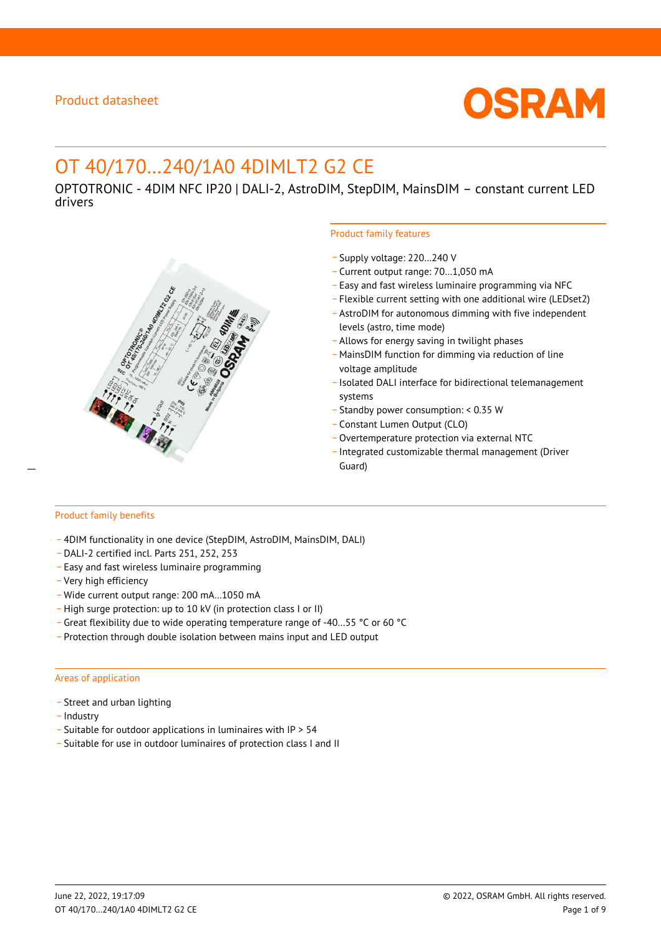

# OT 40/170…240/1A0 4DIMLT2 G2 CE

OPTOTRONIC - 4DIM NFC IP20 | DALI-2, AstroDIM, StepDIM, MainsDIM – constant current LED drivers



#### Product family features

- \_ Supply voltage: 220…240 V
- \_ Current output range: 70…1,050 mA
- \_ Easy and fast wireless luminaire programming via NFC
- \_ Flexible current setting with one additional wire (LEDset2)
- \_ AstroDIM for autonomous dimming with five independent levels (astro, time mode)
- \_ Allows for energy saving in twilight phases
- \_ MainsDIM function for dimming via reduction of line voltage amplitude
- \_ Isolated DALI interface for bidirectional telemanagement systems
- \_ Standby power consumption: < 0.35 W
- \_ Constant Lumen Output (CLO)
- \_ Overtemperature protection via external NTC
- \_ Integrated customizable thermal management (Driver

# Product family benefits

- \_ 4DIM functionality in one device (StepDIM, AstroDIM, MainsDIM, DALI)
- \_ DALI-2 certified incl. Parts 251, 252, 253
- \_ Easy and fast wireless luminaire programming
- \_ Very high efficiency
- \_ Wide current output range: 200 mA…1050 mA
- \_ High surge protection: up to 10 kV (in protection class I or II)
- \_ Great flexibility due to wide operating temperature range of -40…55 °C or 60 °C
- \_ Protection through double isolation between mains input and LED output

#### Areas of application

- Street and urban lighting
- Industry
- \_ Suitable for outdoor applications in luminaires with IP > 54
- \_ Suitable for use in outdoor luminaires of protection class I and II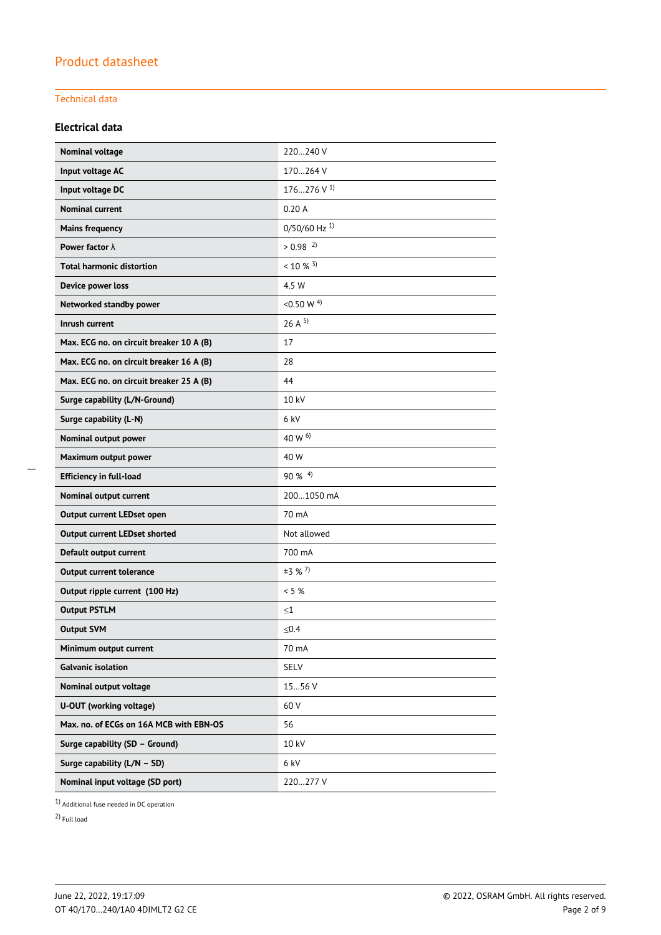### Technical data

### **Electrical data**

| Nominal voltage                          | 220240 V                   |
|------------------------------------------|----------------------------|
| Input voltage AC                         | 170264 V                   |
| Input voltage DC                         | 176276 V $^{1}$            |
| <b>Nominal current</b>                   | 0.20A                      |
| <b>Mains frequency</b>                   | $0/50/60$ Hz <sup>1)</sup> |
| Power factor $\lambda$                   | $> 0.98$ <sup>2)</sup>     |
| <b>Total harmonic distortion</b>         | $< 10 \%$ 3)               |
| Device power loss                        | 4.5 W                      |
| Networked standby power                  | <0.50 W $^{4)}$            |
| Inrush current                           | 26A <sup>5</sup>           |
| Max. ECG no. on circuit breaker 10 A (B) | 17                         |
| Max. ECG no. on circuit breaker 16 A (B) | 28                         |
| Max. ECG no. on circuit breaker 25 A (B) | 44                         |
| Surge capability (L/N-Ground)            | 10 kV                      |
| Surge capability (L-N)                   | 6 kV                       |
| Nominal output power                     | 40 W 6)                    |
| Maximum output power                     | 40 W                       |
| <b>Efficiency in full-load</b>           | $90\%$ <sup>4)</sup>       |
| Nominal output current                   | 2001050 mA                 |
| Output current LEDset open               | 70 mA                      |
| <b>Output current LEDset shorted</b>     | Not allowed                |
| Default output current                   | 700 mA                     |
| <b>Output current tolerance</b>          | $±3$ % <sup>7</sup> )      |
| Output ripple current (100 Hz)           | $< 5 \%$                   |
| <b>Output PSTLM</b>                      | $\leq1$                    |
| <b>Output SVM</b>                        | ≤ $0.4$                    |
| Minimum output current                   | 70 mA                      |
| <b>Galvanic isolation</b>                | SELV                       |
| Nominal output voltage                   | 1556 V                     |
| U-OUT (working voltage)                  | 60 V                       |
| Max. no. of ECGs on 16A MCB with EBN-OS  | 56                         |
| Surge capability (SD - Ground)           | 10 kV                      |
| Surge capability (L/N - SD)              | 6 kV                       |
| Nominal input voltage (SD port)          | 220277 V                   |

1) Additional fuse needed in DC operation

2) Full load

\_\_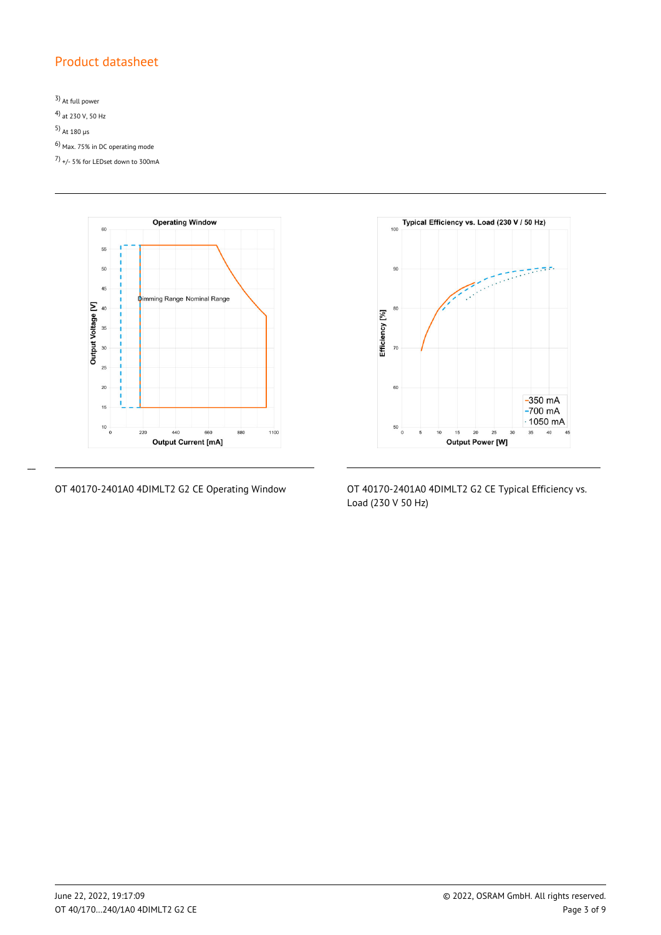3) At full power 4) at 230 V, 50 Hz 5) At 180  $\mu$ s 6) Max. 75% in DC operating mode 7) +/- 5% for LEDset down to 300mA



 $\overline{a}$ 



OT 40170-2401A0 4DIMLT2 G2 CE Operating Window OT 40170-2401A0 4DIMLT2 G2 CE Typical Efficiency vs. Load (230 V 50 Hz)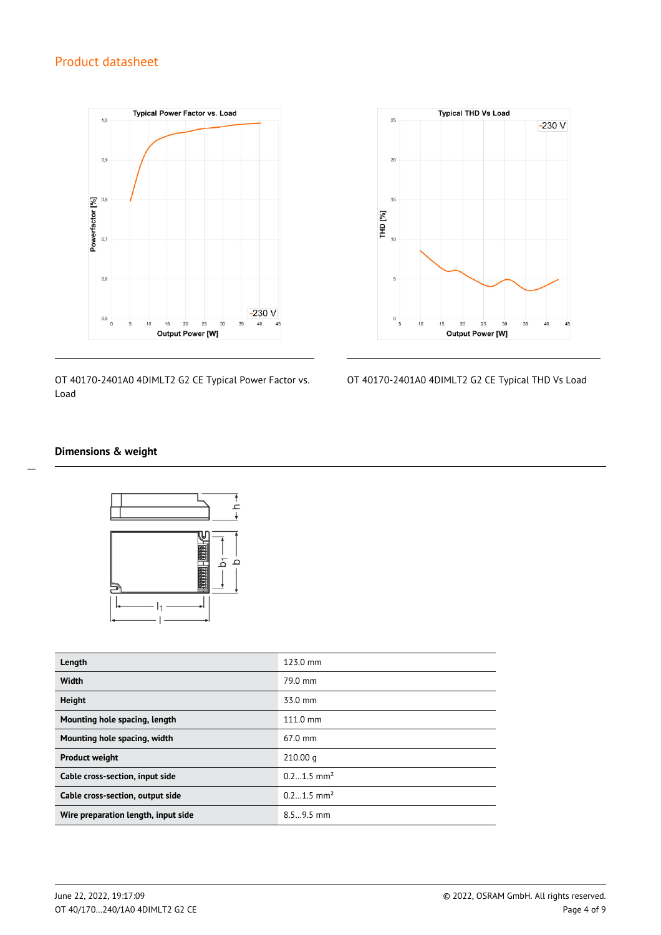

OT 40170-2401A0 4DIMLT2 G2 CE Typical Power Factor vs. Load



OT 40170-2401A0 4DIMLT2 G2 CE Typical THD Vs Load

#### **Dimensions & weight**



| Length                              | 123.0 mm                 |
|-------------------------------------|--------------------------|
| Width                               | 79.0 mm                  |
| <b>Height</b>                       | 33.0 mm                  |
| Mounting hole spacing, length       | $111.0 \text{ mm}$       |
| Mounting hole spacing, width        | $67.0$ mm                |
| <b>Product weight</b>               | 210.00 q                 |
| Cable cross-section, input side     | $0.21.5$ mm <sup>2</sup> |
| Cable cross-section, output side    | $0.21.5$ mm <sup>2</sup> |
| Wire preparation length, input side | $8.59.5$ mm              |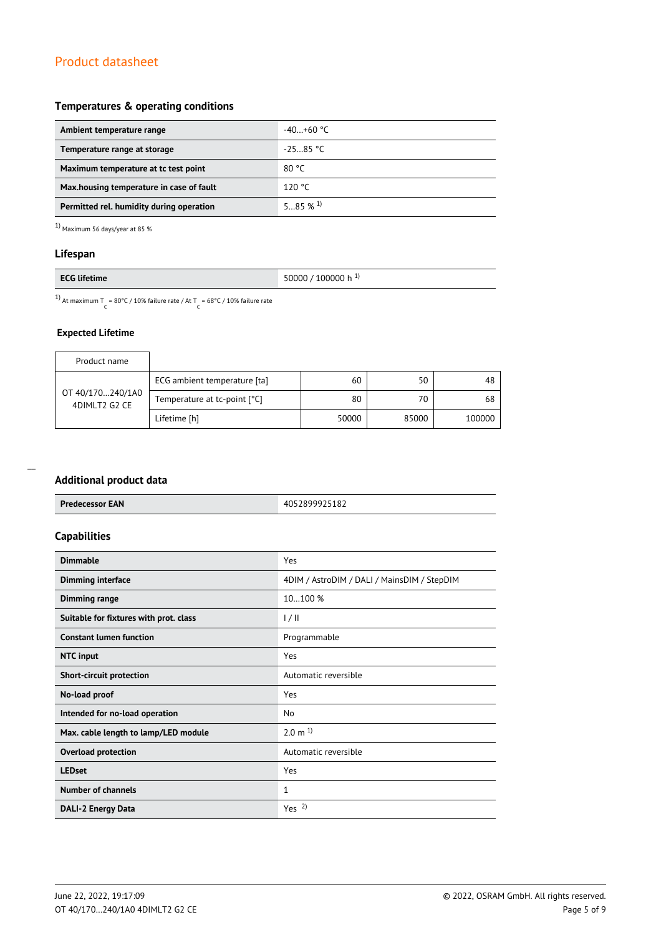#### **Temperatures & operating conditions**

| Ambient temperature range                 | -40…+60 °C  |
|-------------------------------------------|-------------|
| Temperature range at storage              | $-25.85 °C$ |
| Maximum temperature at to test point      | 80 °C       |
| Max, housing temperature in case of fault | 120 °C      |
| Permitted rel. humidity during operation  | 585%1       |

 $1)$  Maximum 56 days/year at 85  $\%$ 

#### **Lifespan**

|--|

<sup>1)</sup> At maximum T = 80°C / 10% failure rate / At T = 68°C / 10% failure rate

### **Expected Lifetime**

| Product name                      |                              |       |       |        |
|-----------------------------------|------------------------------|-------|-------|--------|
| OT 40/170240/1A0<br>4DIMLT2 G2 CE | ECG ambient temperature [ta] | 60    | 50    | 48     |
|                                   | Temperature at tc-point [°C] | 80    | 70    | 68     |
|                                   | Lifetime [h]                 | 50000 | 85000 | 100000 |

| <b>Additional product data</b>         |                                             |
|----------------------------------------|---------------------------------------------|
| <b>Predecessor EAN</b>                 | 4052899925182                               |
| <b>Capabilities</b>                    |                                             |
| <b>Dimmable</b>                        | Yes                                         |
| <b>Dimming interface</b>               | 4DIM / AstroDIM / DALI / MainsDIM / StepDIM |
| Dimming range                          | 10100 %                                     |
| Suitable for fixtures with prot. class | 1/11                                        |
| <b>Constant lumen function</b>         | Programmable                                |
| <b>NTC</b> input                       | Yes                                         |
| <b>Short-circuit protection</b>        | Automatic reversible                        |
| No-load proof                          | Yes                                         |
| Intended for no-load operation         | <b>No</b>                                   |
| Max. cable length to lamp/LED module   | $2.0 \text{ m}^{1}$                         |
| <b>Overload protection</b>             | Automatic reversible                        |
| <b>LEDset</b>                          | Yes                                         |
| <b>Number of channels</b>              | 1                                           |
| <b>DALI-2 Energy Data</b>              | Yes <sup>2</sup>                            |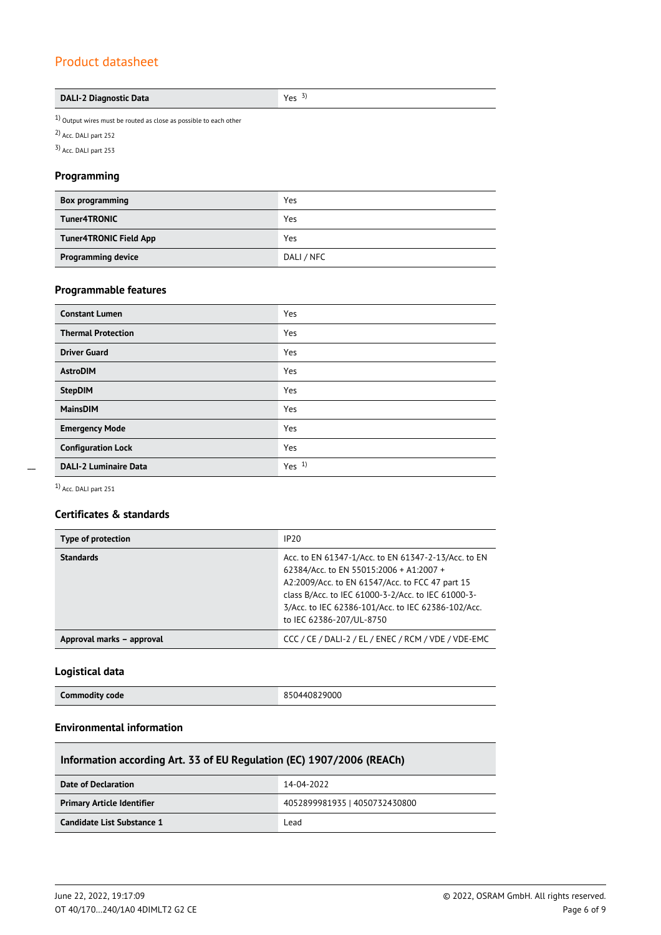#### **DALI-2 Diagnostic Data Yes** 3)

 $1)$  Output wires must be routed as close as possible to each other

2) Acc. DALI part 252

3) Acc. DALI part 253

#### **Programming**

| <b>Box programming</b>        | Yes        |
|-------------------------------|------------|
| Tuner4TRONIC                  | Yes        |
| <b>Tuner4TRONIC Field App</b> | Yes        |
| <b>Programming device</b>     | DALI / NFC |

### **Programmable features**

| <b>Constant Lumen</b>        | Yes     |
|------------------------------|---------|
| <b>Thermal Protection</b>    | Yes     |
| <b>Driver Guard</b>          | Yes     |
| <b>AstroDIM</b>              | Yes     |
| <b>StepDIM</b>               | Yes     |
| <b>MainsDIM</b>              | Yes     |
| <b>Emergency Mode</b>        | Yes     |
| <b>Configuration Lock</b>    | Yes     |
| <b>DALI-2 Luminaire Data</b> | Yes $1$ |

 $\overline{a}$ 

1) Acc. DALI part 251

### **Certificates & standards**

| Type of protection        | IP20                                                                                                                                                                                                                                                                                      |
|---------------------------|-------------------------------------------------------------------------------------------------------------------------------------------------------------------------------------------------------------------------------------------------------------------------------------------|
| <b>Standards</b>          | Acc. to EN 61347-1/Acc. to EN 61347-2-13/Acc. to EN<br>62384/Acc. to EN 55015:2006 + A1:2007 +<br>A2:2009/Acc. to EN 61547/Acc. to FCC 47 part 15<br>class B/Acc. to IEC 61000-3-2/Acc. to IEC 61000-3-<br>3/Acc. to IEC 62386-101/Acc. to IEC 62386-102/Acc.<br>to IEC 62386-207/UL-8750 |
| Approval marks - approval | CCC / CE / DALI-2 / EL / ENEC / RCM / VDE / VDE-EMC                                                                                                                                                                                                                                       |

### **Logistical data**

| <b>Commodity code</b> | 850440829000 |
|-----------------------|--------------|
|                       |              |

### **Environmental information**

| Information according Art. 33 of EU Regulation (EC) 1907/2006 (REACh) |                               |
|-----------------------------------------------------------------------|-------------------------------|
| Date of Declaration                                                   | 14-04-2022                    |
| <b>Primary Article Identifier</b>                                     | 4052899981935   4050732430800 |
| Candidate List Substance 1                                            | Lead                          |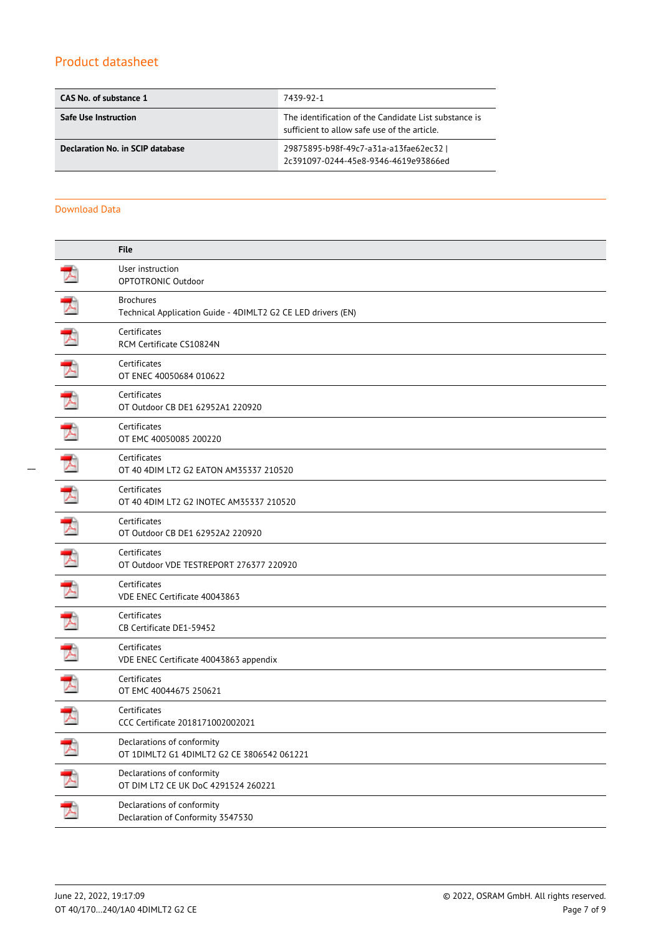| CAS No. of substance 1           | 7439-92-1                                                                                             |
|----------------------------------|-------------------------------------------------------------------------------------------------------|
| <b>Safe Use Instruction</b>      | The identification of the Candidate List substance is<br>sufficient to allow safe use of the article. |
| Declaration No. in SCIP database | 29875895-b98f-49c7-a31a-a13fae62ec32  <br>2c391097-0244-45e8-9346-4619e93866ed                        |

#### Download Data

|        | <b>File</b>                                                                      |
|--------|----------------------------------------------------------------------------------|
|        | User instruction<br>OPTOTRONIC Outdoor                                           |
| ≻      | <b>Brochures</b><br>Technical Application Guide - 4DIMLT2 G2 CE LED drivers (EN) |
|        | Certificates<br>RCM Certificate CS10824N                                         |
|        | Certificates<br>OT ENEC 40050684 010622                                          |
|        | Certificates<br>OT Outdoor CB DE1 62952A1 220920                                 |
|        | Certificates<br>OT EMC 40050085 200220                                           |
|        | Certificates<br>OT 40 4DIM LT2 G2 EATON AM35337 210520                           |
|        | Certificates<br>OT 40 4DIM LT2 G2 INOTEC AM35337 210520                          |
|        | Certificates<br>OT Outdoor CB DE1 62952A2 220920                                 |
|        | Certificates<br>OT Outdoor VDE TESTREPORT 276377 220920                          |
|        | Certificates<br>VDE ENEC Certificate 40043863                                    |
|        | Certificates<br>CB Certificate DE1-59452                                         |
|        | Certificates<br>VDE ENEC Certificate 40043863 appendix                           |
|        | Certificates<br>OT EMC 40044675 250621                                           |
|        | Certificates<br>CCC Certificate 2018171002002021                                 |
|        | Declarations of conformity<br>OT 1DIMLT2 G1 4DIMLT2 G2 CE 3806542 061221         |
| 大<br>大 | Declarations of conformity<br>OT DIM LT2 CE UK DoC 4291524 260221                |
|        | Declarations of conformity<br>Declaration of Conformity 3547530                  |
|        |                                                                                  |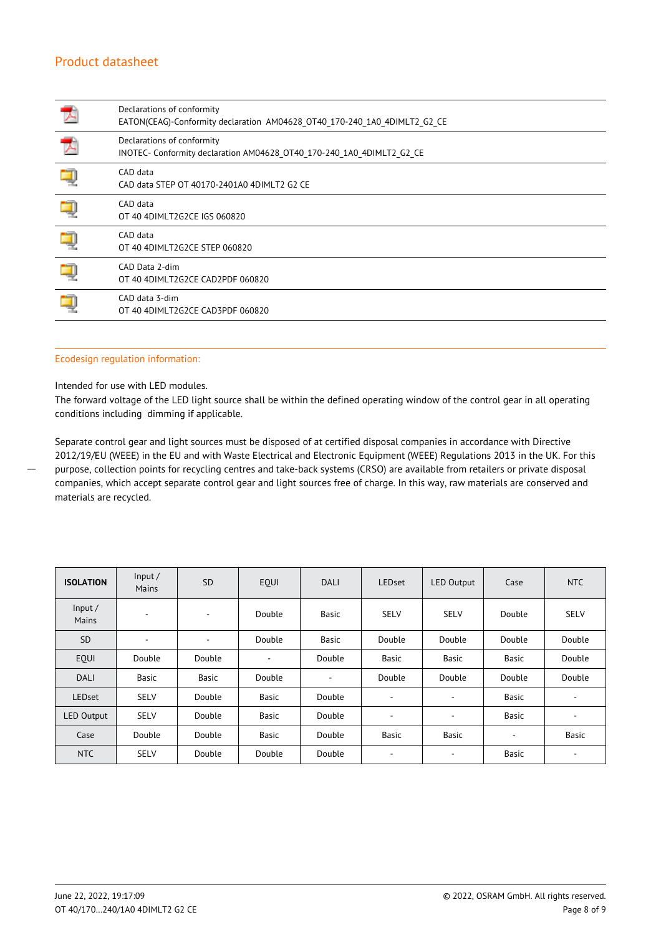| Declarations of conformity<br>EATON(CEAG)-Conformity declaration AM04628 OT40 170-240 1A0 4DIMLT2 G2 CE |
|---------------------------------------------------------------------------------------------------------|
| Declarations of conformity<br>INOTEC- Conformity declaration AM04628 OT40 170-240 1A0 4DIMLT2 G2 CE     |
| CAD data<br>CAD data STEP OT 40170-2401A0 4DIMLT2 G2 CE                                                 |
| CAD data<br>OT 40 4DIMLT2G2CE IGS 060820                                                                |
| CAD data<br>OT 40 4DIMLT2G2CE STEP 060820                                                               |
| CAD Data 2-dim<br>OT 40 4DIMLT2G2CE CAD2PDF 060820                                                      |
| CAD data 3-dim<br>OT 40 4DIMLT2G2CE CAD3PDF 060820                                                      |

#### Ecodesign regulation information:

Intended for use with LED modules.

 $\overline{a}$ 

The forward voltage of the LED light source shall be within the defined operating window of the control gear in all operating conditions including dimming if applicable.

Separate control gear and light sources must be disposed of at certified disposal companies in accordance with Directive 2012/19/EU (WEEE) in the EU and with Waste Electrical and Electronic Equipment (WEEE) Regulations 2013 in the UK. For this purpose, collection points for recycling centres and take-back systems (CRSO) are available from retailers or private disposal companies, which accept separate control gear and light sources free of charge. In this way, raw materials are conserved and materials are recycled.

| <b>ISOLATION</b>  | Input/<br>Mains          | <b>SD</b> | EQUI   | <b>DALI</b>  | <b>LEDset</b>            | <b>LED Output</b> | Case   | <b>NTC</b>               |
|-------------------|--------------------------|-----------|--------|--------------|--------------------------|-------------------|--------|--------------------------|
| Input/<br>Mains   | $\overline{\phantom{a}}$ | ٠         | Double | <b>Basic</b> | <b>SELV</b>              | <b>SELV</b>       | Double | <b>SELV</b>              |
| <b>SD</b>         | ٠                        | ٠         | Double | Basic        | Double                   | Double            | Double | Double                   |
| EQUI              | Double                   | Double    | ÷      | Double       | <b>Basic</b>             | Basic             | Basic  | Double                   |
| <b>DALI</b>       | Basic                    | Basic     | Double | ٠            | Double                   | Double            | Double | Double                   |
| <b>LEDset</b>     | <b>SELV</b>              | Double    | Basic  | Double       | $\overline{\phantom{a}}$ | ٠                 | Basic  | ٠                        |
| <b>LED Output</b> | <b>SELV</b>              | Double    | Basic  | Double       | ۰                        | ۰                 | Basic  | $\overline{\phantom{a}}$ |
| Case              | Double                   | Double    | Basic  | Double       | Basic                    | <b>Basic</b>      | ٠      | Basic                    |
| <b>NTC</b>        | <b>SELV</b>              | Double    | Double | Double       | ٠                        | ۰                 | Basic  | $\overline{\phantom{a}}$ |